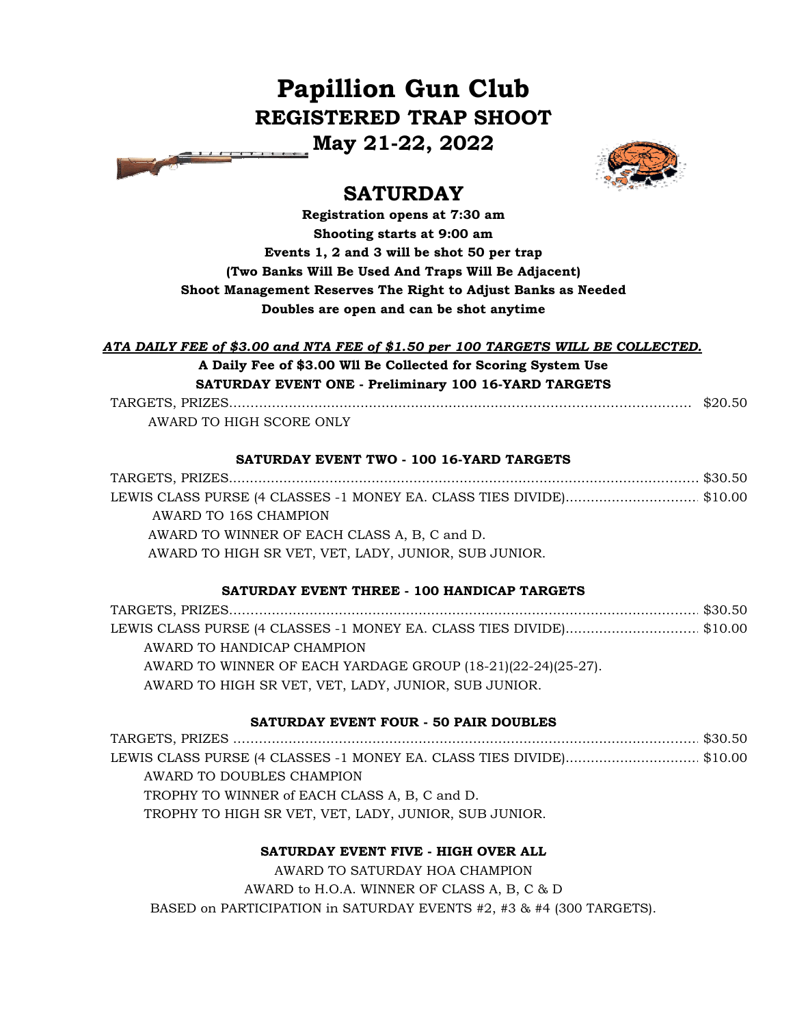# **Papillion Gun Club REGISTERED TRAP SHOOT**

**May 21-22, 2022**



# **SATURDAY**

**Registration opens at 7:30 am Shooting starts at 9:00 am Events 1, 2 and 3 will be shot 50 per trap (Two Banks Will Be Used And Traps Will Be Adjacent) Shoot Management Reserves The Right to Adjust Banks as Needed Doubles are open and can be shot anytime**

# *ATA DAILY FEE of \$3.00 and NTA FEE of \$1.50 per 100 TARGETS WILL BE COLLECTED.* **A Daily Fee of \$3.00 Wll Be Collected for Scoring System Use SATURDAY EVENT ONE - Preliminary 100 16-YARD TARGETS**

TARGETS, PRIZES…………...…...............................................………………………………..…… \$20.50 AWARD TO HIGH SCORE ONLY

### **SATURDAY EVENT TWO - 100 16-YARD TARGETS**

| LEWIS CLASS PURSE (4 CLASSES -1 MONEY EA. CLASS TIES DIVIDE)\$10.00 |  |
|---------------------------------------------------------------------|--|
| AWARD TO 16S CHAMPION                                               |  |
| AWARD TO WINNER OF EACH CLASS A, B, C and D.                        |  |
| AWARD TO HIGH SR VET, VET, LADY, JUNIOR, SUB JUNIOR.                |  |
|                                                                     |  |

# **SATURDAY EVENT THREE - 100 HANDICAP TARGETS**

TARGETS, PRIZES………..............................................................................................……… \$30.50 LEWIS CLASS PURSE (4 CLASSES -1 MONEY EA. CLASS TIES DIVIDE)..........................…………………………… \$10.00 AWARD TO HANDICAP CHAMPION AWARD TO WINNER OF EACH YARDAGE GROUP (18-21)(22-24)(25-27). AWARD TO HIGH SR VET, VET, LADY, JUNIOR, SUB JUNIOR.

# **SATURDAY EVENT FOUR - 50 PAIR DOUBLES**

TARGETS, PRIZES ……….............................................................................................……… \$30.50 LEWIS CLASS PURSE (4 CLASSES -1 MONEY EA. CLASS TIES DIVIDE)...........................……\$10.00 AWARD TO DOUBLES CHAMPION TROPHY TO WINNER of EACH CLASS A, B, C and D. TROPHY TO HIGH SR VET, VET, LADY, JUNIOR, SUB JUNIOR.

# **SATURDAY EVENT FIVE - HIGH OVER ALL**

AWARD TO SATURDAY HOA CHAMPION AWARD to H.O.A. WINNER OF CLASS A, B, C & D BASED on PARTICIPATION in SATURDAY EVENTS #2, #3 & #4 (300 TARGETS).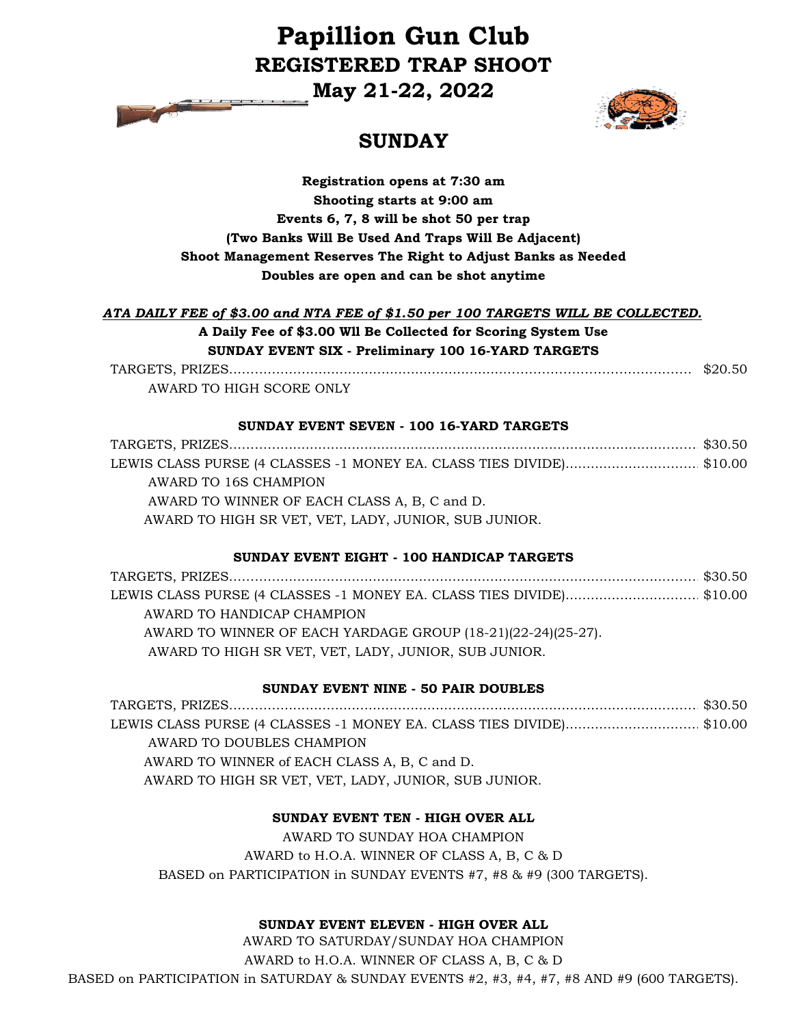# **Papillion Gun Club REGISTERED TRAP SHOOT**

**May 21-22, 2022**



# **SUNDAY**

# **Registration opens at 7:30 am Shooting starts at 9:00 am Events 6, 7, 8 will be shot 50 per trap (Two Banks Will Be Used And Traps Will Be Adjacent) Shoot Management Reserves The Right to Adjust Banks as Needed Doubles are open and can be shot anytime**

### *ATA DAILY FEE of \$3.00 and NTA FEE of \$1.50 per 100 TARGETS WILL BE COLLECTED.* **A Daily Fee of \$3.00 Wll Be Collected for Scoring System Use SUNDAY EVENT SIX - Preliminary 100 16-YARD TARGETS**

TARGETS, PRIZES…………...…...............................................………………………………..…… \$20.50 AWARD TO HIGH SCORE ONLY

### **SUNDAY EVENT SEVEN - 100 16-YARD TARGETS**

| LEWIS CLASS PURSE (4 CLASSES -1 MONEY EA. CLASS TIES DIVIDE)\$10.00 |  |
|---------------------------------------------------------------------|--|
| AWARD TO 16S CHAMPION                                               |  |
| AWARD TO WINNER OF EACH CLASS A, B, C and D.                        |  |
| AWARD TO HIGH SR VET, VET, LADY, JUNIOR, SUB JUNIOR.                |  |

### **SUNDAY EVENT EIGHT - 100 HANDICAP TARGETS**

| LEWIS CLASS PURSE (4 CLASSES -1 MONEY EA. CLASS TIES DIVIDE)\$10.00 |  |
|---------------------------------------------------------------------|--|
| AWARD TO HANDICAP CHAMPION                                          |  |
| AWARD TO WINNER OF EACH YARDAGE GROUP (18-21)(22-24)(25-27).        |  |
| AWARD TO HIGH SR VET, VET, LADY, JUNIOR, SUB JUNIOR.                |  |

#### **SUNDAY EVENT NINE - 50 PAIR DOUBLES**

TARGETS, PRIZES…………............................................................................................………\$30.50 LEWIS CLASS PURSE (4 CLASSES -1 MONEY EA. CLASS TIES DIVIDE)...........................……\$10.00 AWARD TO DOUBLES CHAMPION AWARD TO WINNER of EACH CLASS A, B, C and D. AWARD TO HIGH SR VET, VET, LADY, JUNIOR, SUB JUNIOR.

### **SUNDAY EVENT TEN - HIGH OVER ALL**

AWARD TO SUNDAY HOA CHAMPION AWARD to H.O.A. WINNER OF CLASS A, B, C & D BASED on PARTICIPATION in SUNDAY EVENTS #7, #8 & #9 (300 TARGETS).

### **SUNDAY EVENT ELEVEN - HIGH OVER ALL**

AWARD TO SATURDAY/SUNDAY HOA CHAMPION AWARD to H.O.A. WINNER OF CLASS A, B, C & D BASED on PARTICIPATION in SATURDAY & SUNDAY EVENTS #2, #3, #4, #7, #8 AND #9 (600 TARGETS).